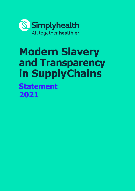

# **Modern Slavery and Transparency in SupplyChains Statement 2021**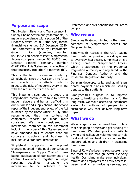### **Purpose and scope**

This Modern Slavery and Transparency in Supply Chains Statement ("Statement") is made in accordance with section 54 of the Modern Slavery Act 2015 (the "Act") for the financial vear ended  $31<sup>st</sup>$  December 2020. The Statement is made by Simplyhealth<br>Group Limited (company number (company 05445654) on behalf of itself, Simplyhealth Access (company number 00183035) and<br>Denplan Limited (company number Denplan Limited (company number 01981238). This Statement is reflective of their practices. (together "Simplyhealth").

This is the fourth statement made by Simplyhealth since the Act came into force and reports on the efforts made to mitigate the risks of modern slavery in line with the requirements of the Act.

This Statement sets out the steps that Simplyhealth continues to take to prevent modern slavery and human trafficking in our business and supply chains.The second report of the independent review of the Act launched by the Home Office in July 2018 recommended companies' reports be made more consistent. We have considered the information contained in this Statement including the order of this Statement and have amended this to ensure that our corporate structure and business is included as a standard introduction.

Simplyhealth supports the proposed changes outlined in the public consultation "Transparency in Supply Chains", these being: publication of our statement on a central Government registry; a single reporting deadline; mandating the<br>information to be included in our information to be included in our

Statement; and civil penalties for failures to comply.

#### **Who we are**

Simplyhealth Group Limited is the parent company of Simplyhealth Access and Denplan Limited.

Simplyhealth Access is the UK's leading health cash plan provider, providing access to everyday healthcare. Simplyhealth is a trading name of Simplyhealth Access, which is authorised by the Prudential Regulation Authority and regulated by the Financial Conduct Authority and the Prudential Regulation Authority.

Denplan develops, sells, and administers dental payment plans which are sold by dentists to their patients.

Simplyhealth's purpose is to improve access to healthcare for the many, for the long term. We make accessing healthcare easier for millions of people in a sustainable way that delivers long term impact.

### **What we do**

We arrange insurance based health plans that help people access and get funding for healthcare. We also provide charitable giving and colleague volunteering to help local and national healthcare charities that support adults and children in accessing healthcare.

Since 1872, we've been helping people make the most of life through better everyday health. Our plans make sure individuals, families and employees can easily access inperson and virtual wellbeing services, and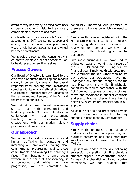afford to stay healthy by claiming costs back on dental treatments, visits to the optician, complementary therapies and more.

Our health plans also provide 24/7 video GP appointments, 24/7 counselling support and advice, cover for routine prescription costs, video physiotherapy assessment and virtual healthcare treatments.

We provide direct to the consumer, via corporate employee benefit schemes, or by health practitioners themselves.

### **Process Owners**

Our Board of Directors is committed to the eradication of human trafficking and modern slavery in our supply chains and has overall responsibility for ensuring that Simplyhealth complies with its legal and ethical obligations. Our Board of Directors receives updates on the nature and requirements of the Act, and the impact on our group.

We maintain a clear internal governance<br>structure at both operational and structure at both leadership levels. Our senior leaders (in conjunction with our procurement function) remain responsible for engagement with our modern slavery processes and procedures.

## **Our approach**

We continue to tackle modern slavery and<br>human trafficking by educating and human trafficking informing our employees, making clear commitments, progressing against those commitments and owning the challenges faced. This Statement is once again written in the spirit of transparency; it<br>acknowledges that while we have acknowledges that while we have progressed, we are committed to

continually improving our practices as there are still areas on which we need to work.

Simplyhealth remain registered with the Home Office contact database to receive reporting guidance and resources. In reviewing our approach, we have had<br>regard to the latest governmental aovernmental guidance.

Like most businesses, we have had to adjust our ways of working as a result of the COVID-19 pandemic. During our last financial year Simplyhealth withdrew from the veterinary market. Other than as set out above, our operations have not undergone any material change since the last Statement, and while Simplyhealth continues to require compliance with the Act from our suppliers by the use of clear terms and conditions in supplier contracts and pre-contractual checks, there has by necessity, been limited modification in our approach.

All of our policies and procedures remain under review and adaptable to any changes in risks faced by Simplyhealth.

## **Supply chains**

Simplyhealth continues to source goods and services for internal operations, our business customers and consumers from suppliers on our Approved Supplier List ("ASL").

Suppliers are added to the ASL following successful completion of Simplyhealth's standard supplier pre-contractual checks. By way of a checklist within our control<br>framework, we can evidence that framework, we can evidence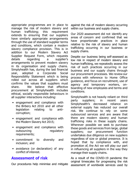appropriate programmes are in place to manage the risk of modern slavery and<br>human trafficking: this reguirement requirement extends to ensuring that our suppliers have similarly appropriate arrangements through the use of standard supplier terms and conditions, which contain a modern slavery compliance provision. This is in addition to our Modern Slavery Act Supplier Request Form, which requests<br>details regarding a supplier's a supplier's arrangements to prevent modern slavery in its organisation and supply chains. Simplyhealth has, during the last financial<br>vear, adopted a Corporate Social year, adopted a Corporate Responsibility Statement which is being rolled out across all suppliers which confirms the values that suppliers must<br>share. We believe that effective share. We believe that effective procurement at Simplyhealth includes ethical, socially responsible behaviours in all supplier interactions including:

- engagement and compliance with the Bribery Act 2010 and all other<br>legislation relating to antilegislation relating to corruption;
- engagement and compliance with the Modern Slavery Act 2015;
- engagement and compliance with outsourcing regulatory requirements;
- commitment to diversity and inclusion; and
- avoidance (or declaration) of any conflict of interest.

### **Assessment of risk**

Our procedures help minimise and mitigate

against the risk of modern slavery occurring within our business and supply chains.

Our 2020 assessment did not identify any areas of concern and confirmed that we have proportionate practices in place relative to the risk of slavery and human trafficking occurring in our business or supply chains.

Despite our business being self-assessed as low risk in respect of modern slavery and human trafficking, we repeatedly assess the risk of such practices occurring in our business and our supply chains through our procurement processes. We review our process with reference to Home Office guidance, and focus on recruitment, use of agency and temporary workers, onboarding of new employees and terms and conditions.

Simplyhealth is not heavily reliant on third<br>party suppliers: in recent vears party suppliers; in recent years Simplyhealth's decreased reliance on external supply has reduced our overall risk. We continue to rely on some outsourced services and are aware that there are modern slavery and human trafficking risks in these supply chains. Wherever possible we seek to purchase these goods and services from large, global suppliers; our procurement function undertakes due diligence on new suppliers regardless of size or global presence. It is hoped that by compliance with, and promotion of, the Act we will play our part in influencing all suppliers in the way they manage their supply chains.

As a result of the COVID-19 pandemic the original timescales for progressing the risk assessment of worldwide services used by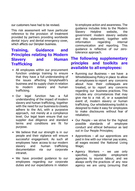our customers have had to be revised.

This risk assessment will have particular reference to the provision of treatment provided by partners providing worldwide dental injury and dental emergency cover, which affects our Denplan business.

## **Training, Guidance and Principles relating to Modern Slavery and Human Trafficking**

- All employees within our procurement function undergo training to ensure that they have a full understanding of the issues affecting Simplyhealth's business and its supply chain in relation<br>to modern slavery and human slavery trafficking.
- Our legal function has a full understanding of the impact of modern slavery and human trafficking, together with the need for our business to closely adhere to the Act, with a purposive approach, not merely at a compliance level. Our legal team ensure that our supplier due diligence and standard terms and conditions are fit for purpose.
- We believe that our strength is in our people and their vigilance will ensure successful engagement. As such all employees have access to our modern<br>slavery and human trafficking trafficking documentation via our corporate intranet.
- We have provided guidance to our employees regarding our corporate duties and our expectations in relation

to employee action and awareness. The guidance includes links to the Modern<br>Slavery Helpline website, the website, government modern slavery website and this statement; together with<br>information regarding internal information communication and reporting. This guidance is reflective of our zerotolerance approach.

## **The following supplementary principles and toolkits are available to all employees:**

- Running our Business we have a Whistleblowing Policy in place to allow all employees to report any concerns about how their colleagues are treated, or to report any concerns regarding our business practices. This includes any circumstances that may give rise to a risk of, or a suspected event of, modern slavery or human trafficking. Our whistleblowing toolkit is designed to make it easy for employees to make disclosures without fear of retaliation;
- Our People we strive for the highest possible standards of employee conduct and ethical behaviour as laid out in Our People Principles;
- Apprentices all our apprentices are paid in line with our internal pay scales, all wages exceed the National Living Wage;
- Agency Workers we use only specified, reputable employment agencies to source labour, and we always verify the practices of any new agency we are using (ensuring that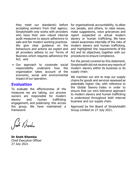they meet our standards) before accepting workers from that agency. Simplyhealth only works with providers who have their own robust internal audit measures to assure adherence to safe and fair modern working practices. We give clear guidance on the behaviours and actions we expect and all providers adhere to our Terms of Business which requires adherence the Act; and

• Our approach to corporate social responsibility underpins how the organisation takes account of the economic, social and environmental impact of our operation.

## **Evaluation**

To evaluate the effectiveness of the measures we are taking, our process owners are responsible for modern slavery and human trafficking engagement, and publicising this across the group. We have maintained a framework

for organisational accountability, to allow our people, and others, to raise issues, make suggestions, voice grievances and report suspected or actual modern slavery or human trafficking. We have raised awareness internally of the risks of modern slavery and human trafficking, and highlighted the requirements of the Act and its objectives, together with our procedures to ensure compliance.

For the period covered by this statement, Simplyhealth did not receive any reports of modern slavery within its business or its supply chain.

We maintain our aim to map our supply chains for goods and services assessed as potentially higher risk, with reference to the Global Slavery Index in order to ensure that our zero tolerance approach to modern slavery and human trafficking is understood throughout both internal business and our supply chain.

Approved by the Board of Simplyhealth Group Limited on 27 July 2021.

Joch Khemba

**Dr Sneh Khemka** Chief Executive Officer 27 July 2021